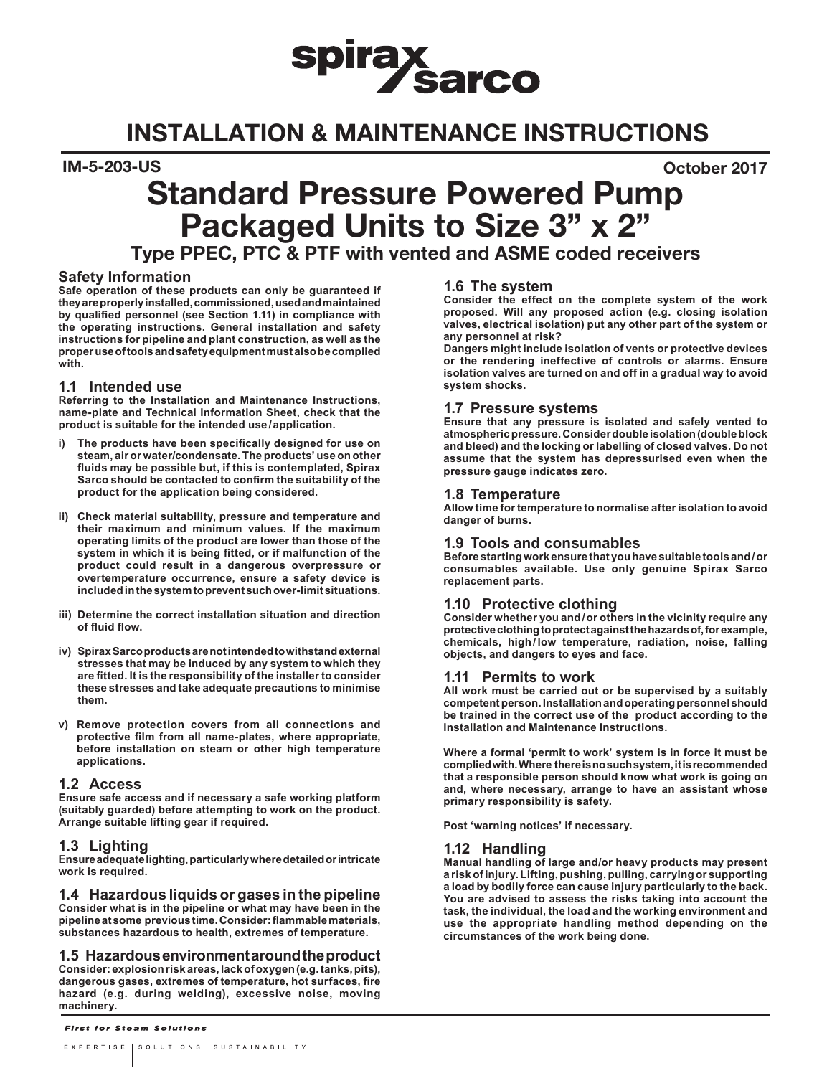# spirax<br>Sarco

## INSTALLATION & MAINTENANCE INSTRUCTIONS

IM-5-203-US October 2017

## Standard Pressure Powered Pump Packaged Units to Size 3" x 2"

Type PPEC, PTC & PTF with vented and ASME coded receivers

#### **Safety Information**

**Safe operation of these products can only be guaranteed if they are properly installed, commissioned, used and maintained by qualified personnel (see Section 1.11) in compliance with the operating instructions. General installation and safety instructions for pipeline and plant construction, as well as the proper use of tools and safety equipment must also be complied with.**

#### **1.1 Intended use**

**Referring to the Installation and Maintenance Instructions, name-plate and Technical Information Sheet, check that the product is suitable for the intended use/application.** 

- **i) The products have been specifically designed for use on steam, air or water/condensate. The products' use on other fluids may be possible but, if this is contemplated, Spirax Sarco should be contacted to confirm the suitability of the product for the application being considered.**
- **ii) Check material suitability, pressure and temperature and their maximum and minimum values. If the maximum operating limits of the product are lower than those of the system in which it is being fitted, or if malfunction of the product could result in a dangerous overpressure or overtemperature occurrence, ensure a safety device is included in the system to prevent such over-limit situations.**
- **iii) Determine the correct installation situation and direction of fluid flow.**
- **iv) Spirax Sarco products are not intended to withstand external stresses that may be induced by any system to which they are fitted. It is the responsibility of the installer to consider these stresses and take adequate precautions to minimise them.**
- **v) Remove protection covers from all connections and protective film from all name-plates, where appropriate, before installation on steam or other high temperature applications.**

#### **1.2 Access**

**Ensure safe access and if necessary a safe working platform (suitably guarded) before attempting to work on the product. Arrange suitable lifting gear if required.**

#### **1.3 Lighting**

**Ensure adequate lighting, particularly where detailed or intricate work is required.**

#### **1.4 Hazardous liquids or gases in the pipeline**

**Consider what is in the pipeline or what may have been in the pipeline at some previous time. Consider: flammable materials, substances hazardous to health, extremes of temperature.**

#### **1.5 Hazardous environment around the product**

**Consider: explosion risk areas, lack of oxygen (e.g. tanks, pits), dangerous gases, extremes of temperature, hot surfaces, fire hazard (e.g. during welding), excessive noise, moving machinery.**

#### **1.6 The system**

**Consider the effect on the complete system of the work proposed. Will any proposed action (e.g. closing isolation valves, electrical isolation) put any other part of the system or any personnel at risk?** 

**Dangers might include isolation of vents or protective devices or the rendering ineffective of controls or alarms. Ensure isolation valves are turned on and off in a gradual way to avoid system shocks.**

#### **1.7 Pressure systems**

**Ensure that any pressure is isolated and safely vented to atmospheric pressure. Consider double isolation (double block and bleed) and the locking or labelling of closed valves. Do not assume that the system has depressurised even when the pressure gauge indicates zero.**

#### **1.8 Temperature**

**Allow time for temperature to normalise after isolation to avoid danger of burns.**

#### **1.9 Tools and consumables**

**Before starting work ensure that you have suitable tools and/or consumables available. Use only genuine Spirax Sarco replacement parts.**

#### **1.10 Protective clothing**

**Consider whether you and/or others in the vicinity require any protective clothing to protect against the hazards of, for example, chemicals, high/low temperature, radiation, noise, falling objects, and dangers to eyes and face.**

#### **1.11 Permits to work**

**All work must be carried out or be supervised by a suitably competent person. Installation and operating personnel should be trained in the correct use of the product according to the Installation and Maintenance Instructions.**

**Where a formal 'permit to work' system is in force it must be complied with. Where there is no such system, it is recommended that a responsible person should know what work is going on and, where necessary, arrange to have an assistant whose primary responsibility is safety.**

**Post 'warning notices' if necessary.**

#### **1.12 Handling**

**Manual handling of large and/or heavy products may present a risk of injury. Lifting, pushing, pulling, carrying or supporting a load by bodily force can cause injury particularly to the back. You are advised to assess the risks taking into account the task, the individual, the load and the working environment and use the appropriate handling method depending on the circumstances of the work being done.**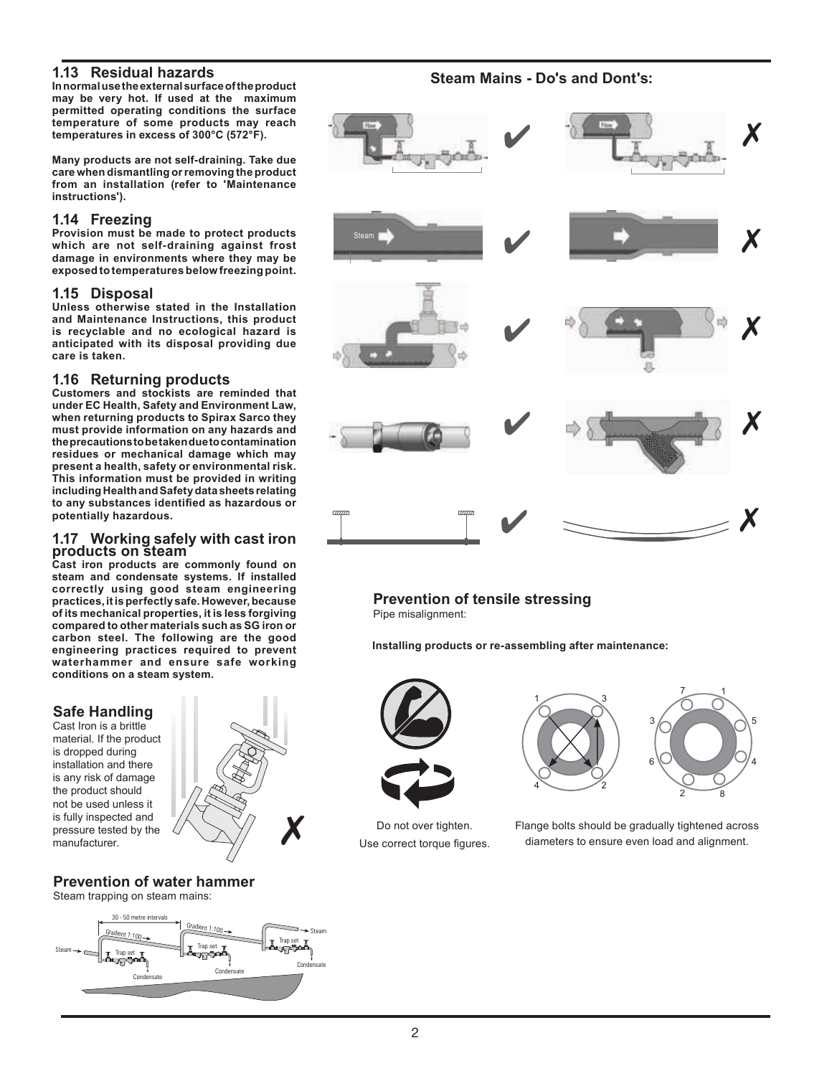#### **1.13 Residual hazards**

**In normal use the external surface of the product may be very hot. If used at the maximum permitted operating conditions the surface temperature of some products may reach temperatures in excess of 300°C (572°F).**

**Many products are not self-draining. Take due care when dismantling or removing the product from an installation (refer to 'Maintenance instructions').**

#### **1.14 Freezing**

**Provision must be made to protect products which are not self-draining against frost damage in environments where they may be exposed to temperatures below freezing point.**

#### **1.15 Disposal**

**Unless otherwise stated in the Installation and Maintenance Instructions, this product is recyclable and no ecological hazard is anticipated with its disposal providing due care is taken.**

#### **1.16 Returning products**

**Customers and stockists are reminded that under EC Health, Safety and Environment Law, when returning products to Spirax Sarco they must provide information on any hazards and the precautions to be taken due to contamination residues or mechanical damage which may present a health, safety or environmental risk. This information must be provided in writing including Health and Safety data sheets relating to any substances identified as hazardous or potentially hazardous.**

## **1.17 Working safely with cast iron products on steam**

**Cast iron products are commonly found on steam and condensate systems. If installed correctly using good steam engineering practices, it is perfectly safe. However, because of its mechanical properties, it is less forgiving compared to other materials such as SG iron or carbon steel. The following are the good engineering practices required to prevent waterhammer and ensure safe working conditions on a steam system.** 

#### **Safe Handling**

Cast Iron is a brittle material. If the product is dropped during installation and there is any risk of damage the product should not be used unless it is fully inspected and pressure tested by the manufacturer.



### **Prevention of water hammer**

Steam trapping on steam mains:



**Steam Mains - Do's and Dont's:**



#### **Prevention of tensile stressing**

Pipe misalignment:

**Installing products or re-assembling after maintenance:**



Do not over tighten. Use correct torque figures.





Flange bolts should be gradually tightened across diameters to ensure even load and alignment.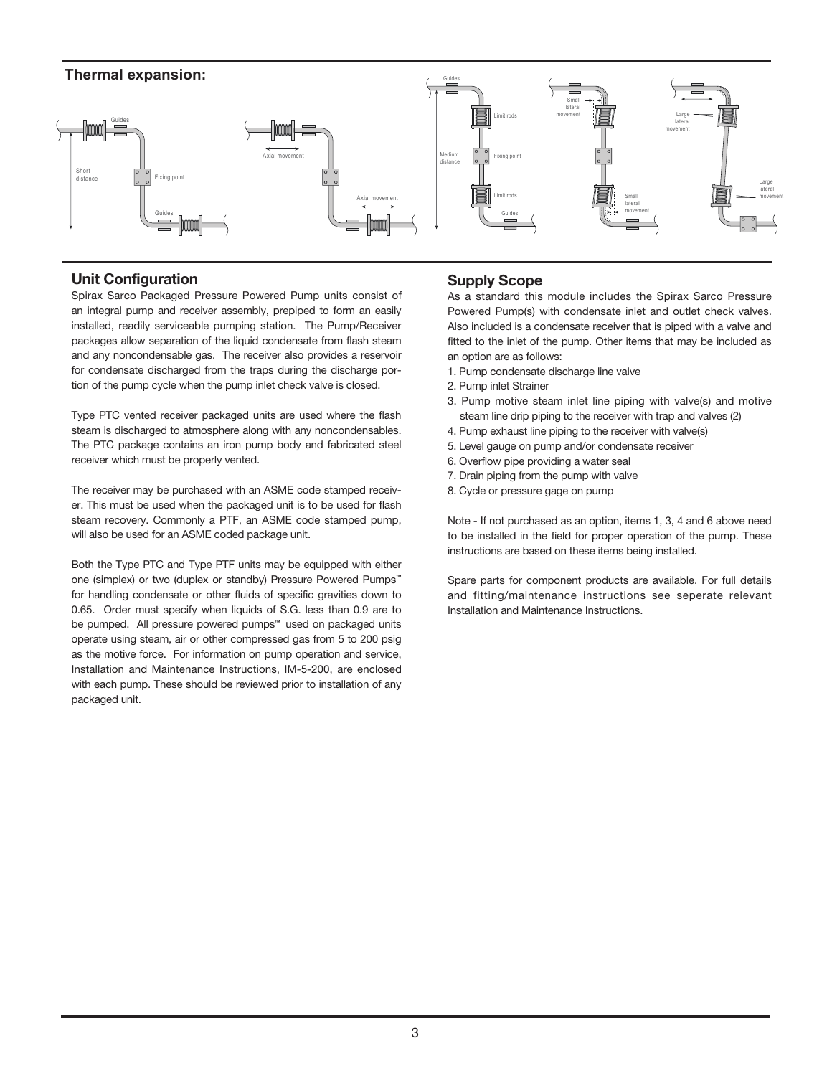

#### Unit Configuration

Spirax Sarco Packaged Pressure Powered Pump units consist of an integral pump and receiver assembly, prepiped to form an easily installed, readily serviceable pumping station. The Pump/Receiver packages allow separation of the liquid condensate from flash steam and any noncondensable gas. The receiver also provides a reservoir for condensate discharged from the traps during the discharge portion of the pump cycle when the pump inlet check valve is closed.

Type PTC vented receiver packaged units are used where the flash steam is discharged to atmosphere along with any noncondensables. The PTC package contains an iron pump body and fabricated steel receiver which must be properly vented.

The receiver may be purchased with an ASME code stamped receiver. This must be used when the packaged unit is to be used for flash steam recovery. Commonly a PTF, an ASME code stamped pump, will also be used for an ASME coded package unit.

Both the Type PTC and Type PTF units may be equipped with either one (simplex) or two (duplex or standby) Pressure Powered Pumps™ for handling condensate or other fluids of specific gravities down to 0.65. Order must specify when liquids of S.G. less than 0.9 are to be pumped. All pressure powered pumps<sup>™</sup> used on packaged units operate using steam, air or other compressed gas from 5 to 200 psig as the motive force. For information on pump operation and service, Installation and Maintenance Instructions, IM-5-200, are enclosed with each pump. These should be reviewed prior to installation of any packaged unit.

#### Supply Scope

As a standard this module includes the Spirax Sarco Pressure Powered Pump(s) with condensate inlet and outlet check valves. Also included is a condensate receiver that is piped with a valve and fitted to the inlet of the pump. Other items that may be included as an option are as follows:

- 1. Pump condensate discharge line valve
- 2. Pump inlet Strainer
- 3. Pump motive steam inlet line piping with valve(s) and motive steam line drip piping to the receiver with trap and valves (2)
- 4. Pump exhaust line piping to the receiver with valve(s)
- 5. Level gauge on pump and/or condensate receiver
- 6. Overflow pipe providing a water seal
- 7. Drain piping from the pump with valve
- 8. Cycle or pressure gage on pump

Note - If not purchased as an option, items 1, 3, 4 and 6 above need to be installed in the field for proper operation of the pump. These instructions are based on these items being installed.

Spare parts for component products are available. For full details and fitting/maintenance instructions see seperate relevant Installation and Maintenance Instructions.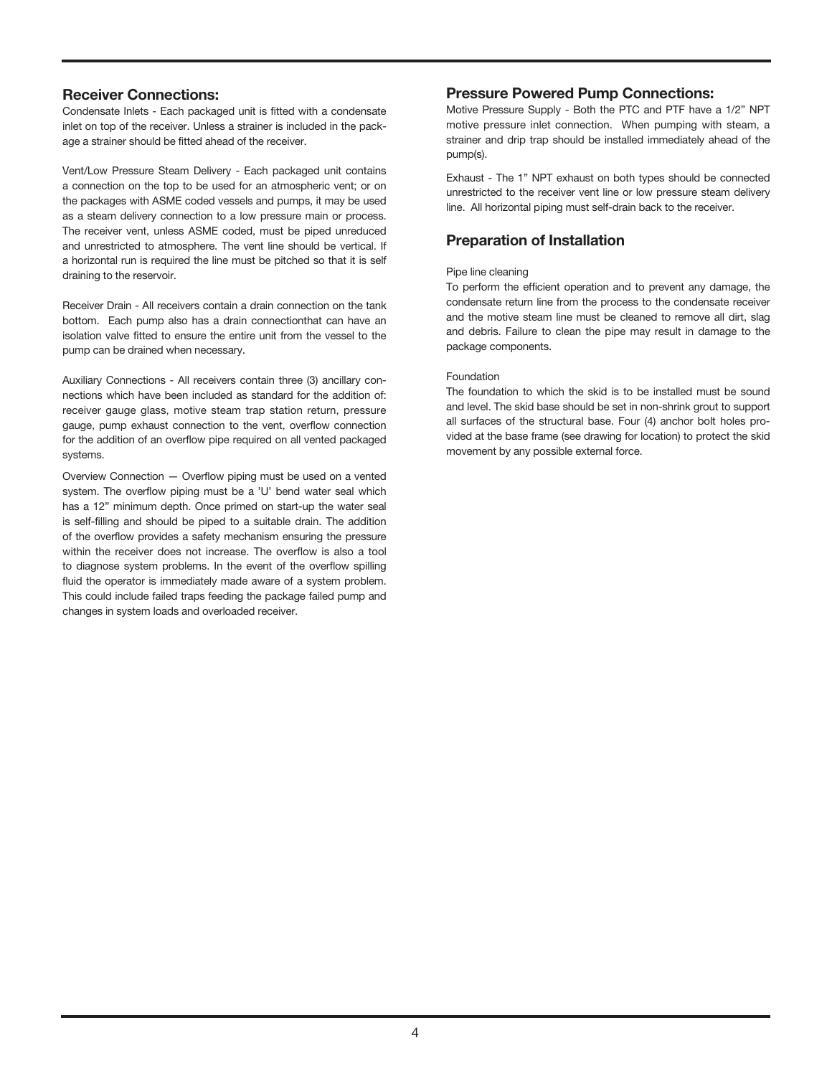#### Receiver Connections:

Condensate Inlets - Each packaged unit is fitted with a condensate inlet on top of the receiver. Unless a strainer is included in the package a strainer should be fitted ahead of the receiver.

Vent/Low Pressure Steam Delivery - Each packaged unit contains a connection on the top to be used for an atmospheric vent; or on the packages with ASME coded vessels and pumps, it may be used as a steam delivery connection to a low pressure main or process. The receiver vent, unless ASME coded, must be piped unreduced and unrestricted to atmosphere. The vent line should be vertical. If a horizontal run is required the line must be pitched so that it is self draining to the reservoir.

Receiver Drain - All receivers contain a drain connection on the tank bottom. Each pump also has a drain connectionthat can have an isolation valve fitted to ensure the entire unit from the vessel to the pump can be drained when necessary.

Auxiliary Connections - All receivers contain three (3) ancillary connections which have been included as standard for the addition of: receiver gauge glass, motive steam trap station return, pressure gauge, pump exhaust connection to the vent, overflow connection for the addition of an overflow pipe required on all vented packaged systems.

Overview Connection — Overflow piping must be used on a vented system. The overflow piping must be a 'U' bend water seal which has a 12" minimum depth. Once primed on start-up the water seal is self-filling and should be piped to a suitable drain. The addition of the overflow provides a safety mechanism ensuring the pressure within the receiver does not increase. The overflow is also a tool to diagnose system problems. In the event of the overflow spilling fluid the operator is immediately made aware of a system problem. This could include failed traps feeding the package failed pump and changes in system loads and overloaded receiver.

#### Pressure Powered Pump Connections:

Motive Pressure Supply - Both the PTC and PTF have a 1/2" NPT motive pressure inlet connection. When pumping with steam, a strainer and drip trap should be installed immediately ahead of the pump(s).

Exhaust - The 1" NPT exhaust on both types should be connected unrestricted to the receiver vent line or low pressure steam delivery line. All horizontal piping must self-drain back to the receiver.

#### Preparation of Installation

#### Pipe line cleaning

To perform the efficient operation and to prevent any damage, the condensate return line from the process to the condensate receiver and the motive steam line must be cleaned to remove all dirt, slag and debris. Failure to clean the pipe may result in damage to the package components.

#### Foundation

The foundation to which the skid is to be installed must be sound and level. The skid base should be set in non-shrink grout to support all surfaces of the structural base. Four (4) anchor bolt holes provided at the base frame (see drawing for location) to protect the skid movement by any possible external force.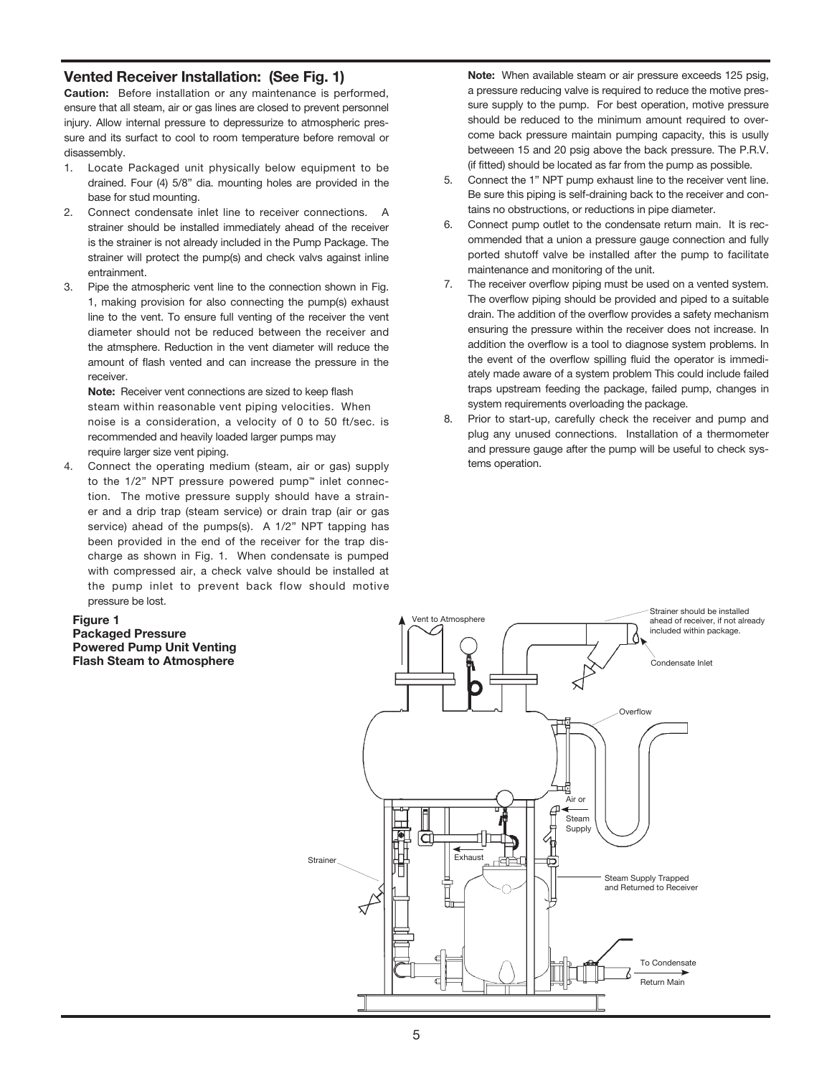#### Vented Receiver Installation: (See Fig. 1)

Caution: Before installation or any maintenance is performed, ensure that all steam, air or gas lines are closed to prevent personnel injury. Allow internal pressure to depressurize to atmospheric pressure and its surfact to cool to room temperature before removal or disassembly.

- 1. Locate Packaged unit physically below equipment to be drained. Four (4) 5/8" dia. mounting holes are provided in the base for stud mounting.
- 2. Connect condensate inlet line to receiver connections. A strainer should be installed immediately ahead of the receiver is the strainer is not already included in the Pump Package. The strainer will protect the pump(s) and check valvs against inline entrainment.
- 3. Pipe the atmospheric vent line to the connection shown in Fig. 1, making provision for also connecting the pump(s) exhaust line to the vent. To ensure full venting of the receiver the vent diameter should not be reduced between the receiver and the atmsphere. Reduction in the vent diameter will reduce the amount of flash vented and can increase the pressure in the receiver.

Note: Receiver vent connections are sized to keep flash steam within reasonable vent piping velocities. When noise is a consideration, a velocity of 0 to 50 ft/sec. is recommended and heavily loaded larger pumps may require larger size vent piping.

4. Connect the operating medium (steam, air or gas) supply to the 1/2" NPT pressure powered pump™ inlet connection. The motive pressure supply should have a strainer and a drip trap (steam service) or drain trap (air or gas service) ahead of the pumps(s). A 1/2" NPT tapping has been provided in the end of the receiver for the trap discharge as shown in Fig. 1. When condensate is pumped with compressed air, a check valve should be installed at the pump inlet to prevent back flow should motive pressure be lost.

Note: When available steam or air pressure exceeds 125 psig, a pressure reducing valve is required to reduce the motive pressure supply to the pump. For best operation, motive pressure should be reduced to the minimum amount required to overcome back pressure maintain pumping capacity, this is usully betweeen 15 and 20 psig above the back pressure. The P.R.V. (if fitted) should be located as far from the pump as possible.

- 5. Connect the 1" NPT pump exhaust line to the receiver vent line. Be sure this piping is self-draining back to the receiver and contains no obstructions, or reductions in pipe diameter.
- 6. Connect pump outlet to the condensate return main. It is recommended that a union a pressure gauge connection and fully ported shutoff valve be installed after the pump to facilitate maintenance and monitoring of the unit.
- 7. The receiver overflow piping must be used on a vented system. The overflow piping should be provided and piped to a suitable drain. The addition of the overflow provides a safety mechanism ensuring the pressure within the receiver does not increase. In addition the overflow is a tool to diagnose system problems. In the event of the overflow spilling fluid the operator is immediately made aware of a system problem This could include failed traps upstream feeding the package, failed pump, changes in system requirements overloading the package.
- 8. Prior to start-up, carefully check the receiver and pump and plug any unused connections. Installation of a thermometer and pressure gauge after the pump will be useful to check systems operation.

#### Figure 1

Packaged Pressure Powered Pump Unit Venting

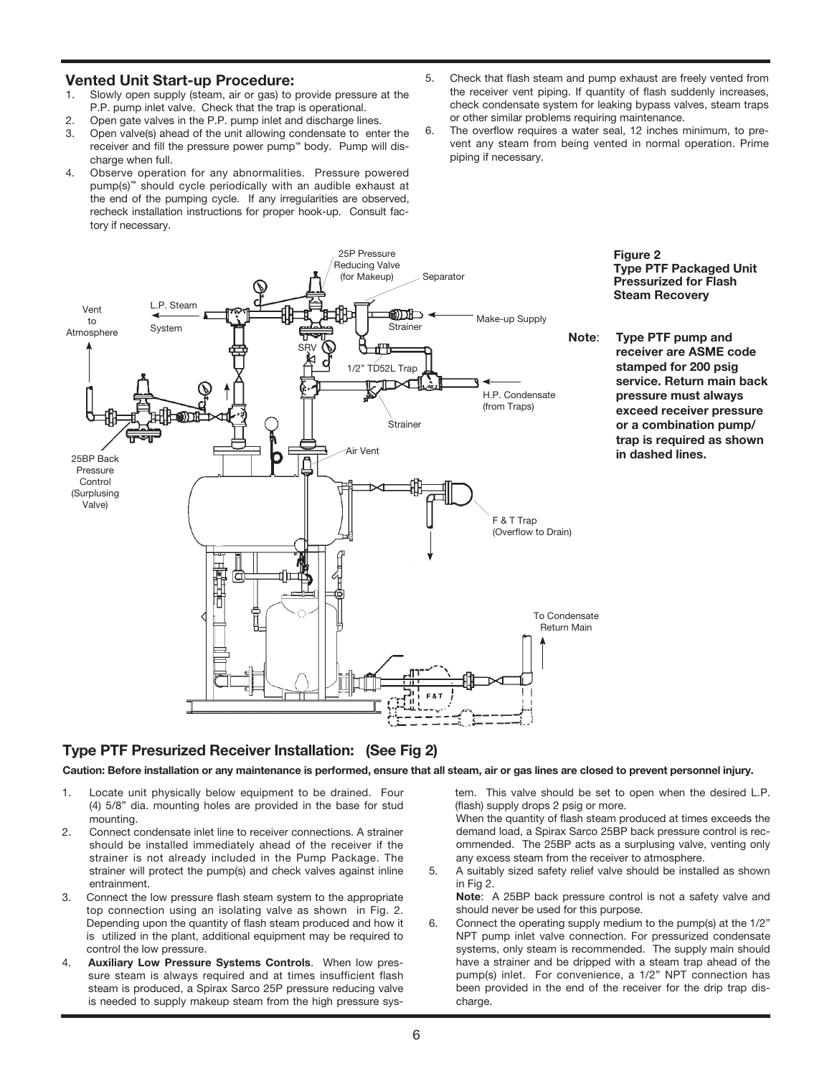#### Vented Unit Start-up Procedure:

- 1. Slowly open supply (steam, air or gas) to provide pressure at the P.P. pump inlet valve. Check that the trap is operational.
- 2. Open gate valves in the P.P. pump inlet and discharge lines.
- 3. Open valve(s) ahead of the unit allowing condensate to enter the receiver and fill the pressure power pump™ body. Pump will discharge when full.
- 4. Observe operation for any abnormalities. Pressure powered pump(s)<sup>™</sup> should cycle periodically with an audible exhaust at the end of the pumping cycle. If any irregularities are observed, recheck installation instructions for proper hook-up. Consult factory if necessary.
- 5. Check that flash steam and pump exhaust are freely vented from the receiver vent piping. If quantity of flash suddenly increases, check condensate system for leaking bypass valves, steam traps or other similar problems requiring maintenance.
- 6. The overflow requires a water seal, 12 inches minimum, to prevent any steam from being vented in normal operation. Prime piping if necessary.



#### Type PTF Presurized Receiver Installation: (See Fig 2)

Caution: Before installation or any maintenance is performed, ensure that all steam, air or gas lines are closed to prevent personnel injury.

- 1. Locate unit physically below equipment to be drained. Four (4) 5/8" dia. mounting holes are provided in the base for stud mounting.
- 2. Connect condensate inlet line to receiver connections. A strainer should be installed immediately ahead of the receiver if the strainer is not already included in the Pump Package. The strainer will protect the pump(s) and check valves against inline entrainment.
- 3. Connect the low pressure flash steam system to the appropriate top connection using an isolating valve as shown in Fig. 2. Depending upon the quantity of flash steam produced and how it is utilized in the plant, additional equipment may be required to control the low pressure.
- 4. Auxiliary Low Pressure Systems Controls. When low pressure steam is always required and at times insufficient flash steam is produced, a Spirax Sarco 25P pressure reducing valve is needed to supply makeup steam from the high pressure sys-

tem. This valve should be set to open when the desired L.P. (flash) supply drops 2 psig or more.

- When the quantity of flash steam produced at times exceeds the demand load, a Spirax Sarco 25BP back pressure control is recommended. The 25BP acts as a surplusing valve, venting only any excess steam from the receiver to atmosphere.
- 5. A suitably sized safety relief valve should be installed as shown in Fig 2.

 Note: A 25BP back pressure control is not a safety valve and should never be used for this purpose.

6. Connect the operating supply medium to the pump(s) at the 1/2" NPT pump inlet valve connection. For pressurized condensate systems, only steam is recommended. The supply main should have a strainer and be dripped with a steam trap ahead of the pump(s) inlet. For convenience, a 1/2" NPT connection has been provided in the end of the receiver for the drip trap discharge.